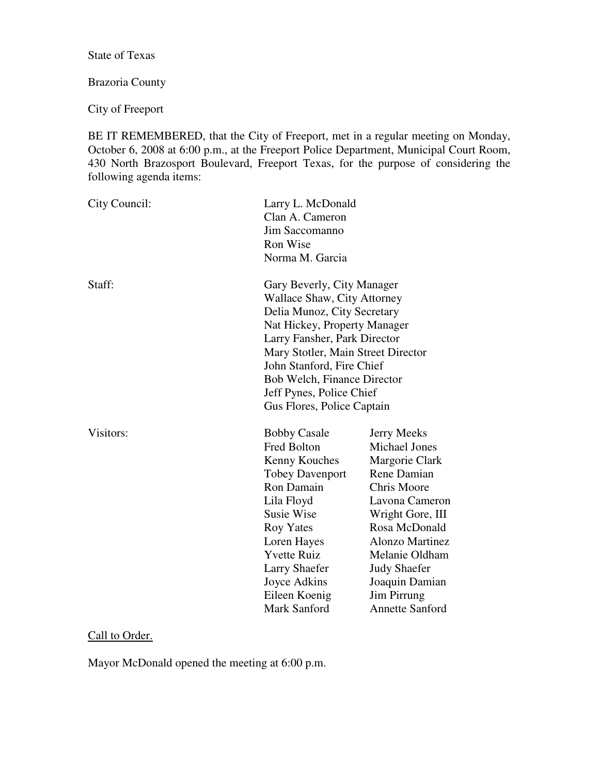State of Texas

# Brazoria County

City of Freeport

BE IT REMEMBERED, that the City of Freeport, met in a regular meeting on Monday, October 6, 2008 at 6:00 p.m., at the Freeport Police Department, Municipal Court Room, 430 North Brazosport Boulevard, Freeport Texas, for the purpose of considering the following agenda items:

| City Council: | Larry L. McDonald<br>Clan A. Cameron<br>Jim Saccomanno<br>Ron Wise<br>Norma M. Garcia                                                                                                                                                                                                                                |                                                                                                                                                                                                                                                                                                      |
|---------------|----------------------------------------------------------------------------------------------------------------------------------------------------------------------------------------------------------------------------------------------------------------------------------------------------------------------|------------------------------------------------------------------------------------------------------------------------------------------------------------------------------------------------------------------------------------------------------------------------------------------------------|
| Staff:        | Gary Beverly, City Manager<br>Wallace Shaw, City Attorney<br>Delia Munoz, City Secretary<br>Nat Hickey, Property Manager<br>Larry Fansher, Park Director<br>Mary Stotler, Main Street Director<br>John Stanford, Fire Chief<br>Bob Welch, Finance Director<br>Jeff Pynes, Police Chief<br>Gus Flores, Police Captain |                                                                                                                                                                                                                                                                                                      |
| Visitors:     | <b>Bobby Casale</b><br>Fred Bolton<br>Kenny Kouches<br><b>Tobey Davenport</b><br>Ron Damain<br>Lila Floyd<br><b>Susie Wise</b><br><b>Roy Yates</b><br>Loren Hayes<br><b>Yvette Ruiz</b><br><b>Larry Shaefer</b><br>Joyce Adkins<br>Eileen Koenig<br>Mark Sanford                                                     | <b>Jerry Meeks</b><br><b>Michael Jones</b><br>Margorie Clark<br><b>Rene Damian</b><br><b>Chris Moore</b><br>Lavona Cameron<br>Wright Gore, III<br>Rosa McDonald<br><b>Alonzo Martinez</b><br>Melanie Oldham<br><b>Judy Shaefer</b><br>Joaquin Damian<br><b>Jim Pirrung</b><br><b>Annette Sanford</b> |

# Call to Order.

Mayor McDonald opened the meeting at 6:00 p.m.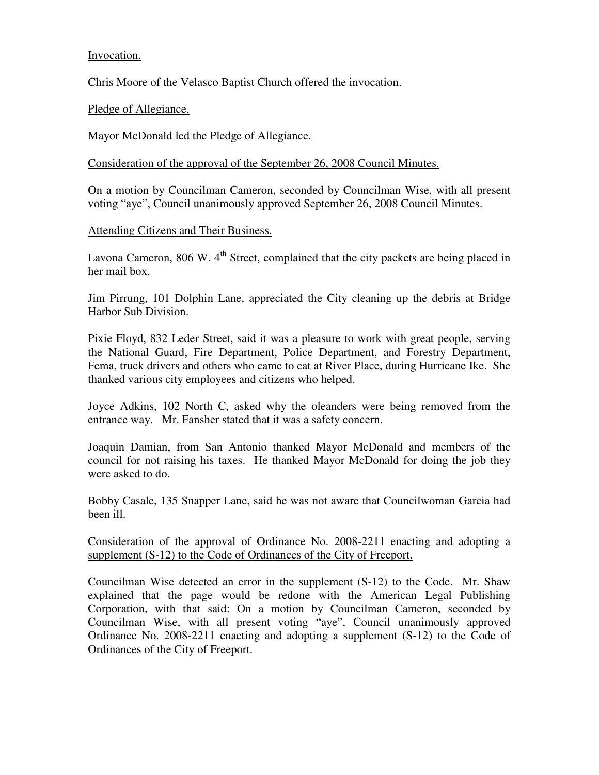# Invocation.

Chris Moore of the Velasco Baptist Church offered the invocation.

# Pledge of Allegiance.

Mayor McDonald led the Pledge of Allegiance.

Consideration of the approval of the September 26, 2008 Council Minutes.

On a motion by Councilman Cameron, seconded by Councilman Wise, with all present voting "aye", Council unanimously approved September 26, 2008 Council Minutes.

## Attending Citizens and Their Business.

Lavona Cameron,  $806 \text{ W}$ .  $4^{\text{th}}$  Street, complained that the city packets are being placed in her mail box.

Jim Pirrung, 101 Dolphin Lane, appreciated the City cleaning up the debris at Bridge Harbor Sub Division.

Pixie Floyd, 832 Leder Street, said it was a pleasure to work with great people, serving the National Guard, Fire Department, Police Department, and Forestry Department, Fema, truck drivers and others who came to eat at River Place, during Hurricane Ike. She thanked various city employees and citizens who helped.

Joyce Adkins, 102 North C, asked why the oleanders were being removed from the entrance way. Mr. Fansher stated that it was a safety concern.

Joaquin Damian, from San Antonio thanked Mayor McDonald and members of the council for not raising his taxes. He thanked Mayor McDonald for doing the job they were asked to do.

Bobby Casale, 135 Snapper Lane, said he was not aware that Councilwoman Garcia had been ill.

Consideration of the approval of Ordinance No. 2008-2211 enacting and adopting a supplement (S-12) to the Code of Ordinances of the City of Freeport.

Councilman Wise detected an error in the supplement (S-12) to the Code. Mr. Shaw explained that the page would be redone with the American Legal Publishing Corporation, with that said: On a motion by Councilman Cameron, seconded by Councilman Wise, with all present voting "aye", Council unanimously approved Ordinance No. 2008-2211 enacting and adopting a supplement (S-12) to the Code of Ordinances of the City of Freeport.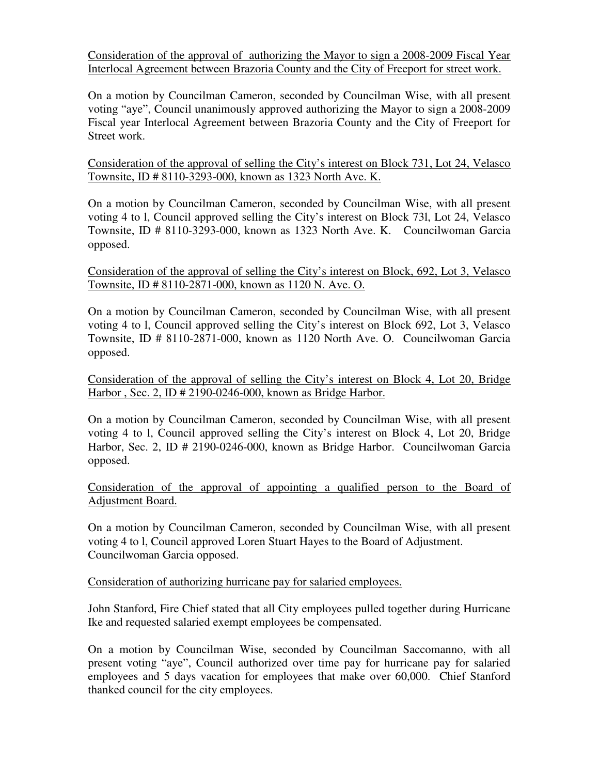Consideration of the approval of authorizing the Mayor to sign a 2008-2009 Fiscal Year Interlocal Agreement between Brazoria County and the City of Freeport for street work.

On a motion by Councilman Cameron, seconded by Councilman Wise, with all present voting "aye", Council unanimously approved authorizing the Mayor to sign a 2008-2009 Fiscal year Interlocal Agreement between Brazoria County and the City of Freeport for Street work.

Consideration of the approval of selling the City's interest on Block 731, Lot 24, Velasco Townsite, ID # 8110-3293-000, known as 1323 North Ave. K.

On a motion by Councilman Cameron, seconded by Councilman Wise, with all present voting 4 to l, Council approved selling the City's interest on Block 73l, Lot 24, Velasco Townsite, ID # 8110-3293-000, known as 1323 North Ave. K. Councilwoman Garcia opposed.

Consideration of the approval of selling the City's interest on Block, 692, Lot 3, Velasco Townsite, ID # 8110-2871-000, known as 1120 N. Ave. O.

On a motion by Councilman Cameron, seconded by Councilman Wise, with all present voting 4 to l, Council approved selling the City's interest on Block 692, Lot 3, Velasco Townsite, ID # 8110-2871-000, known as 1120 North Ave. O. Councilwoman Garcia opposed.

Consideration of the approval of selling the City's interest on Block 4, Lot 20, Bridge Harbor , Sec. 2, ID # 2190-0246-000, known as Bridge Harbor.

On a motion by Councilman Cameron, seconded by Councilman Wise, with all present voting 4 to l, Council approved selling the City's interest on Block 4, Lot 20, Bridge Harbor, Sec. 2, ID # 2190-0246-000, known as Bridge Harbor. Councilwoman Garcia opposed.

Consideration of the approval of appointing a qualified person to the Board of Adjustment Board.

On a motion by Councilman Cameron, seconded by Councilman Wise, with all present voting 4 to l, Council approved Loren Stuart Hayes to the Board of Adjustment. Councilwoman Garcia opposed.

Consideration of authorizing hurricane pay for salaried employees.

John Stanford, Fire Chief stated that all City employees pulled together during Hurricane Ike and requested salaried exempt employees be compensated.

On a motion by Councilman Wise, seconded by Councilman Saccomanno, with all present voting "aye", Council authorized over time pay for hurricane pay for salaried employees and 5 days vacation for employees that make over 60,000. Chief Stanford thanked council for the city employees.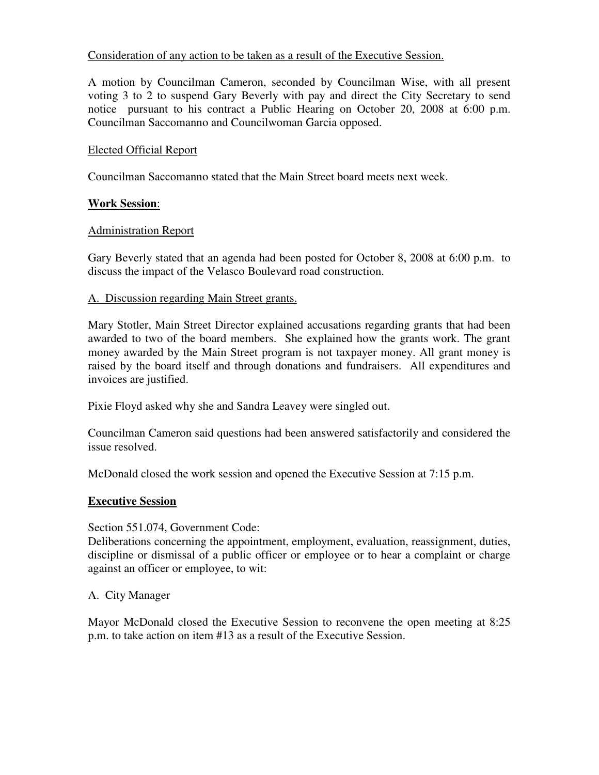# Consideration of any action to be taken as a result of the Executive Session.

A motion by Councilman Cameron, seconded by Councilman Wise, with all present voting 3 to 2 to suspend Gary Beverly with pay and direct the City Secretary to send notice pursuant to his contract a Public Hearing on October 20, 2008 at 6:00 p.m. Councilman Saccomanno and Councilwoman Garcia opposed.

## Elected Official Report

Councilman Saccomanno stated that the Main Street board meets next week.

# **Work Session**:

# Administration Report

Gary Beverly stated that an agenda had been posted for October 8, 2008 at 6:00 p.m. to discuss the impact of the Velasco Boulevard road construction.

## A. Discussion regarding Main Street grants.

Mary Stotler, Main Street Director explained accusations regarding grants that had been awarded to two of the board members. She explained how the grants work. The grant money awarded by the Main Street program is not taxpayer money. All grant money is raised by the board itself and through donations and fundraisers. All expenditures and invoices are justified.

Pixie Floyd asked why she and Sandra Leavey were singled out.

Councilman Cameron said questions had been answered satisfactorily and considered the issue resolved.

McDonald closed the work session and opened the Executive Session at 7:15 p.m.

## **Executive Session**

Section 551.074, Government Code:

Deliberations concerning the appointment, employment, evaluation, reassignment, duties, discipline or dismissal of a public officer or employee or to hear a complaint or charge against an officer or employee, to wit:

## A. City Manager

Mayor McDonald closed the Executive Session to reconvene the open meeting at 8:25 p.m. to take action on item #13 as a result of the Executive Session.